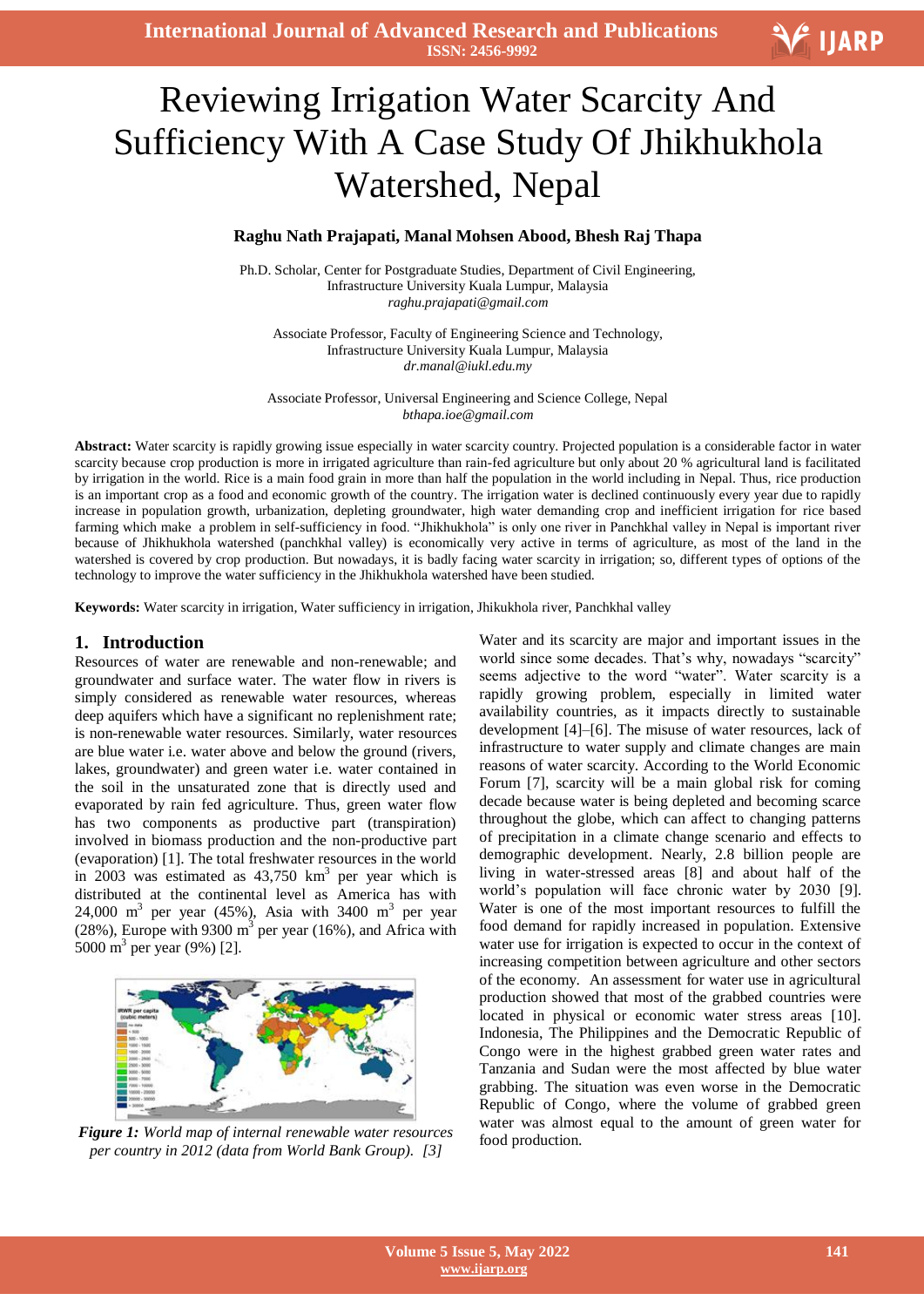**International Journal of Advanced Research and Publications ISSN: 2456-9992**

# $\overline{\mathbf{1}}$ Reviewing Irrigation Water Scarcity And Sufficiency With A Case Study Of Jhikhukhola Watershed, Nepal

## **Raghu Nath Prajapati, Manal Mohsen Abood, Bhesh Raj Thapa**

Ph.D. Scholar, Center for Postgraduate Studies, Department of Civil Engineering, Infrastructure University Kuala Lumpur, Malaysia *[raghu.prajapati@gmail.com](mailto:raghu.prajapati@gmail.com)*

Associate Professor, Faculty of Engineering Science and Technology, Infrastructure University Kuala Lumpur, Malaysia *[dr.manal@iukl.edu.my](mailto:dr.manal@iukl.edu.my)*

Associate Professor, Universal Engineering and Science College, Nepal *[bthapa.ioe@gmail.com](mailto:bthapa.ioe@gmail.com)*

**Abstract:** Water scarcity is rapidly growing issue especially in water scarcity country. Projected population is a considerable factor in water scarcity because crop production is more in irrigated agriculture than rain-fed agriculture but only about 20 % agricultural land is facilitated by irrigation in the world. Rice is a main food grain in more than half the population in the world including in Nepal. Thus, rice production is an important crop as a food and economic growth of the country. The irrigation water is declined continuously every year due to rapidly increase in population growth, urbanization, depleting groundwater, high water demanding crop and inefficient irrigation for rice based farming which make a problem in self-sufficiency in food. "Jhikhukhola" is only one river in Panchkhal valley in Nepal is important river because of Jhikhukhola watershed (panchkhal valley) is economically very active in terms of agriculture, as most of the land in the watershed is covered by crop production. But nowadays, it is badly facing water scarcity in irrigation; so, different types of options of the technology to improve the water sufficiency in the Jhikhukhola watershed have been studied.

**Keywords:** Water scarcity in irrigation, Water sufficiency in irrigation, Jhikukhola river, Panchkhal valley

#### **1. Introduction**

Resources of water are renewable and non-renewable; and groundwater and surface water. The water flow in rivers is simply considered as renewable water resources, whereas deep aquifers which have a significant no replenishment rate; is non-renewable water resources. Similarly, water resources are blue water i.e. water above and below the ground (rivers, lakes, groundwater) and green water i.e. water contained in the soil in the unsaturated zone that is directly used and evaporated by rain fed agriculture. Thus, green water flow has two components as productive part (transpiration) involved in biomass production and the non-productive part (evaporation) [1]. The total freshwater resources in the world in 2003 was estimated as  $43,750 \text{ km}^3$  per year which is distributed at the continental level as America has with 24,000 m<sup>3</sup> per year (45%), Asia with 3400 m<sup>3</sup> per year (28%), Europe with 9300  $m<sup>3</sup>$  per year (16%), and Africa with 5000 m<sup>3</sup> per year (9%) [2].



*Figure 1: World map of internal renewable water resources per country in 2012 (data from World Bank Group). [3]*

Water and its scarcity are major and important issues in the world since some decades. That's why, nowadays "scarcity" seems adjective to the word "water". Water scarcity is a rapidly growing problem, especially in limited water availability countries, as it impacts directly to sustainable development [4]–[6]. The misuse of water resources, lack of infrastructure to water supply and climate changes are main reasons of water scarcity. According to the World Economic Forum [7], scarcity will be a main global risk for coming decade because water is being depleted and becoming scarce throughout the globe, which can affect to changing patterns of precipitation in a climate change scenario and effects to demographic development. Nearly, 2.8 billion people are living in water-stressed areas [8] and about half of the world"s population will face chronic water by 2030 [9]. Water is one of the most important resources to fulfill the food demand for rapidly increased in population. Extensive water use for irrigation is expected to occur in the context of increasing competition between agriculture and other sectors of the economy. An assessment for water use in agricultural production showed that most of the grabbed countries were located in physical or economic water stress areas [10]. Indonesia, The Philippines and the Democratic Republic of Congo were in the highest grabbed green water rates and Tanzania and Sudan were the most affected by blue water grabbing. The situation was even worse in the Democratic Republic of Congo, where the volume of grabbed green water was almost equal to the amount of green water for food production.

V IJARP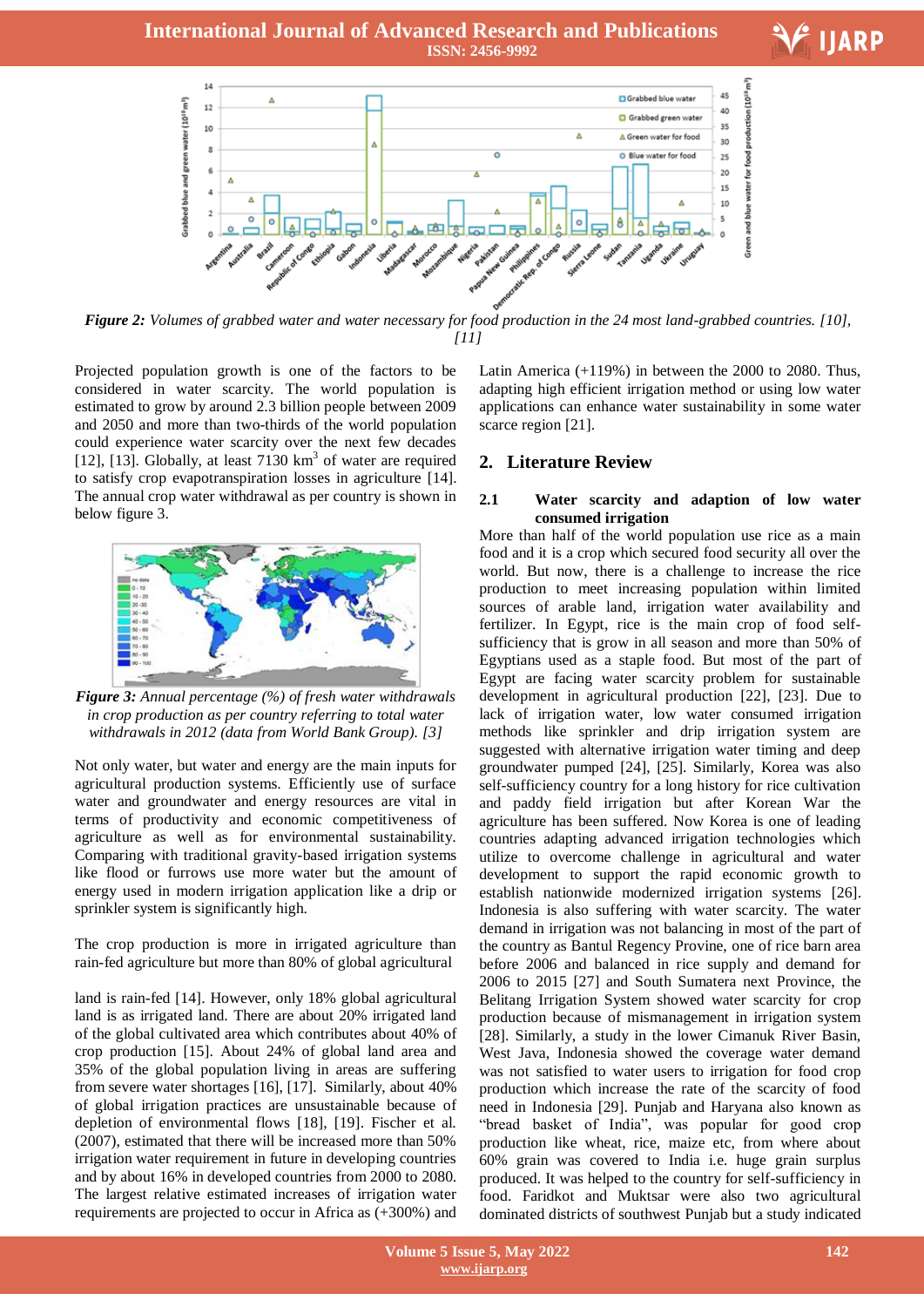## **International Journal of Advanced Research and Publications ISSN: 2456-9992**





*Figure 2: Volumes of grabbed water and water necessary for food production in the 24 most land-grabbed countries. [10], [11]*

Projected population growth is one of the factors to be considered in water scarcity. The world population is estimated to grow by around 2.3 billion people between 2009 and 2050 and more than two-thirds of the world population could experience water scarcity over the next few decades [12],  $[13]$ . Globally, at least 7130  $km<sup>3</sup>$  of water are required to satisfy crop evapotranspiration losses in agriculture [14]. The annual crop water withdrawal as per country is shown in below figure 3.



*Figure 3: Annual percentage (%) of fresh water withdrawals in crop production as per country referring to total water withdrawals in 2012 (data from World Bank Group). [3]*

Not only water, but water and energy are the main inputs for agricultural production systems. Efficiently use of surface water and groundwater and energy resources are vital in terms of productivity and economic competitiveness of agriculture as well as for environmental sustainability. Comparing with traditional gravity-based irrigation systems like flood or furrows use more water but the amount of energy used in modern irrigation application like a drip or sprinkler system is significantly high.

The crop production is more in irrigated agriculture than rain-fed agriculture but more than 80% of global agricultural

land is rain-fed [14]. However, only 18% global agricultural land is as irrigated land. There are about 20% irrigated land of the global cultivated area which contributes about 40% of crop production [15]. About 24% of global land area and 35% of the global population living in areas are suffering from severe water shortages [16], [17]. Similarly, about 40% of global irrigation practices are unsustainable because of depletion of environmental flows [18], [19]. Fischer et al. (2007), estimated that there will be increased more than 50% irrigation water requirement in future in developing countries and by about 16% in developed countries from 2000 to 2080. The largest relative estimated increases of irrigation water requirements are projected to occur in Africa as (+300%) and

Latin America  $(+119%)$  in between the 2000 to 2080. Thus, adapting high efficient irrigation method or using low water applications can enhance water sustainability in some water scarce region [21].

# **2. Literature Review**

#### **2.1 Water scarcity and adaption of low water consumed irrigation**

More than half of the world population use rice as a main food and it is a crop which secured food security all over the world. But now, there is a challenge to increase the rice production to meet increasing population within limited sources of arable land, irrigation water availability and fertilizer. In Egypt, rice is the main crop of food selfsufficiency that is grow in all season and more than 50% of Egyptians used as a staple food. But most of the part of Egypt are facing water scarcity problem for sustainable development in agricultural production [22], [23]. Due to lack of irrigation water, low water consumed irrigation methods like sprinkler and drip irrigation system are suggested with alternative irrigation water timing and deep groundwater pumped [24], [25]. Similarly, Korea was also self-sufficiency country for a long history for rice cultivation and paddy field irrigation but after Korean War the agriculture has been suffered. Now Korea is one of leading countries adapting advanced irrigation technologies which utilize to overcome challenge in agricultural and water development to support the rapid economic growth to establish nationwide modernized irrigation systems [26]. Indonesia is also suffering with water scarcity. The water demand in irrigation was not balancing in most of the part of the country as Bantul Regency Provine, one of rice barn area before 2006 and balanced in rice supply and demand for 2006 to 2015 [27] and South Sumatera next Province, the Belitang Irrigation System showed water scarcity for crop production because of mismanagement in irrigation system [28]. Similarly, a study in the lower Cimanuk River Basin, West Java, Indonesia showed the coverage water demand was not satisfied to water users to irrigation for food crop production which increase the rate of the scarcity of food need in Indonesia [29]. Punjab and Haryana also known as "bread basket of India", was popular for good crop production like wheat, rice, maize etc, from where about 60% grain was covered to India i.e. huge grain surplus produced. It was helped to the country for self-sufficiency in food. Faridkot and Muktsar were also two agricultural dominated districts of southwest Punjab but a study indicated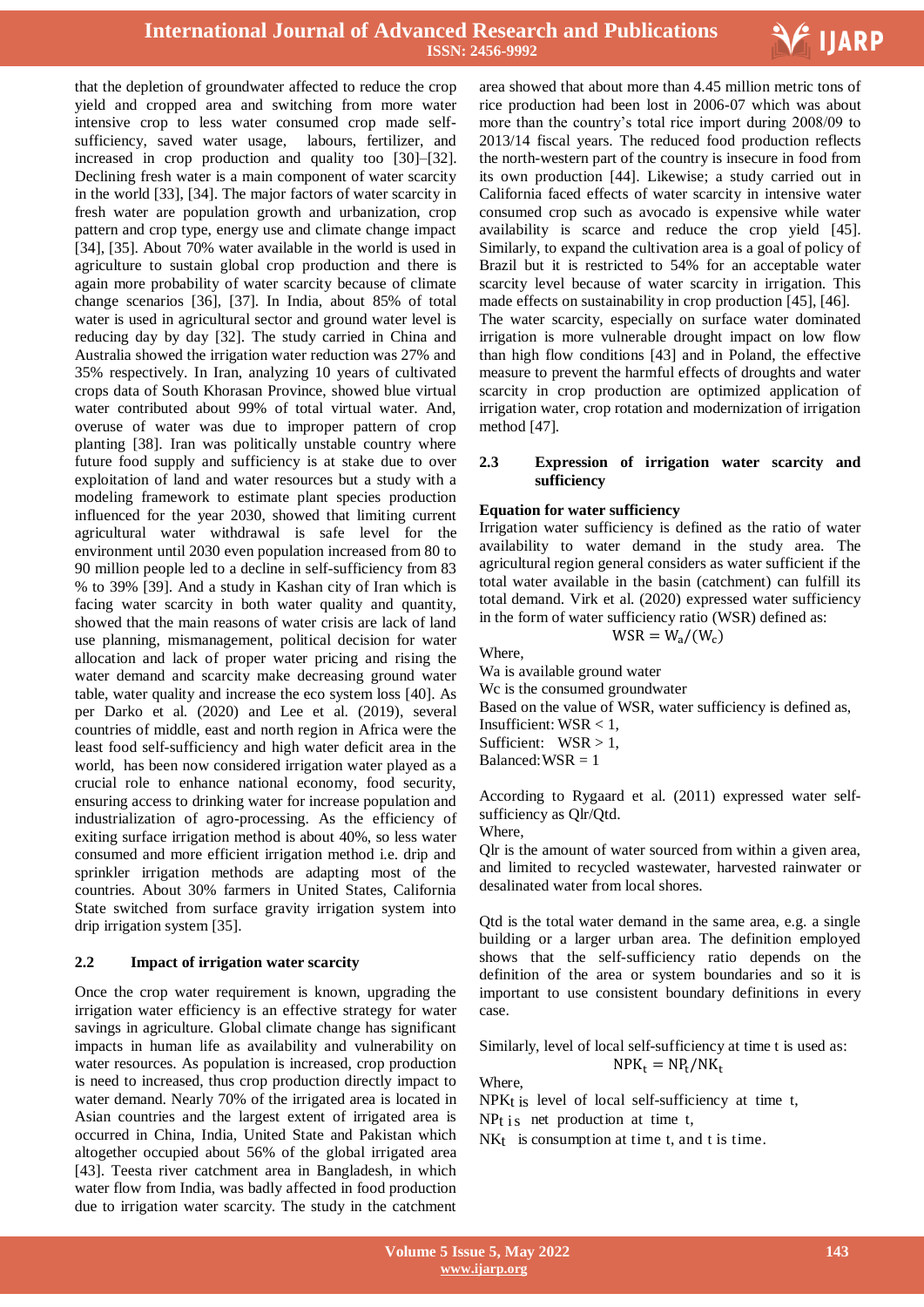

that the depletion of groundwater affected to reduce the crop yield and cropped area and switching from more water intensive crop to less water consumed crop made selfsufficiency, saved water usage, labours, fertilizer, and increased in crop production and quality too [30]–[32]. Declining fresh water is a main component of water scarcity in the world [33], [34]. The major factors of water scarcity in fresh water are population growth and urbanization, crop pattern and crop type, energy use and climate change impact [34], [35]. About 70% water available in the world is used in agriculture to sustain global crop production and there is again more probability of water scarcity because of climate change scenarios [36], [37]. In India, about 85% of total water is used in agricultural sector and ground water level is reducing day by day [32]. The study carried in China and Australia showed the irrigation water reduction was 27% and 35% respectively. In Iran, analyzing 10 years of cultivated crops data of South Khorasan Province, showed blue virtual water contributed about 99% of total virtual water. And, overuse of water was due to improper pattern of crop planting [38]. Iran was politically unstable country where future food supply and sufficiency is at stake due to over exploitation of land and water resources but a study with a modeling framework to estimate plant species production influenced for the year 2030, showed that limiting current agricultural water withdrawal is safe level for the environment until 2030 even population increased from 80 to 90 million people led to a decline in self-sufficiency from 83 % to 39% [39]. And a study in Kashan city of Iran which is facing water scarcity in both water quality and quantity, showed that the main reasons of water crisis are lack of land use planning, mismanagement, political decision for water allocation and lack of proper water pricing and rising the water demand and scarcity make decreasing ground water table, water quality and increase the eco system loss [40]. As per Darko et al. (2020) and Lee et al. (2019), several countries of middle, east and north region in Africa were the least food self-sufficiency and high water deficit area in the world, has been now considered irrigation water played as a crucial role to enhance national economy, food security, ensuring access to drinking water for increase population and industrialization of agro-processing. As the efficiency of exiting surface irrigation method is about 40%, so less water consumed and more efficient irrigation method i.e. drip and sprinkler irrigation methods are adapting most of the countries. About 30% farmers in United States, California State switched from surface gravity irrigation system into drip irrigation system [35].

## **2.2 Impact of irrigation water scarcity**

Once the crop water requirement is known, upgrading the irrigation water efficiency is an effective strategy for water savings in agriculture. Global climate change has significant impacts in human life as availability and vulnerability on water resources. As population is increased, crop production is need to increased, thus crop production directly impact to water demand. Nearly 70% of the irrigated area is located in Asian countries and the largest extent of irrigated area is occurred in China, India, United State and Pakistan which altogether occupied about 56% of the global irrigated area [43]. Teesta river catchment area in Bangladesh, in which water flow from India, was badly affected in food production due to irrigation water scarcity. The study in the catchment

 area showed that about more than 4.45 million metric tons of rice production had been lost in 2006-07 which was about more than the country"s total rice import during 2008/09 to 2013/14 fiscal years. The reduced food production reflects the north-western part of the country is insecure in food from its own production [44]. Likewise; a study carried out in California faced effects of water scarcity in intensive water consumed crop such as avocado is expensive while water availability is scarce and reduce the crop yield [45]. Similarly, to expand the cultivation area is a goal of policy of Brazil but it is restricted to 54% for an acceptable water scarcity level because of water scarcity in irrigation. This made effects on sustainability in crop production [45], [46]. The water scarcity, especially on surface water dominated irrigation is more vulnerable drought impact on low flow than high flow conditions [43] and in Poland, the effective measure to prevent the harmful effects of droughts and water scarcity in crop production are optimized application of irrigation water, crop rotation and modernization of irrigation method [47].

#### **2.3 Expression of irrigation water scarcity and sufficiency**

#### **Equation for water sufficiency**

Irrigation water sufficiency is defined as the ratio of water availability to water demand in the study area. The agricultural region general considers as water sufficient if the total water available in the basin (catchment) can fulfill its total demand. Virk et al. (2020) expressed water sufficiency in the form of water sufficiency ratio (WSR) defined as:

$$
WSR = W_a/(W_c)
$$

Where, Wa is available ground water Wc is the consumed groundwater Based on the value of WSR, water sufficiency is defined as, Insufficient: WSR < 1, Sufficient:  $WSR > 1$ , Balanced:  $WSR = 1$ 

According to Rygaard et al. (2011) expressed water selfsufficiency as Qlr/Qtd.

Where,

Qlr is the amount of water sourced from within a given area, and limited to recycled wastewater, harvested rainwater or desalinated water from local shores.

Qtd is the total water demand in the same area, e.g. a single building or a larger urban area. The definition employed shows that the self-sufficiency ratio depends on the definition of the area or system boundaries and so it is important to use consistent boundary definitions in every case.

Similarly, level of local self-sufficiency at time t is used as:  $NPK_t = NP_t/NK_t$ 

Where,

NPKt is level of local self-sufficiency at time t,  $NPt$  is net production at time t,

NK<sub>t</sub> is consumption at time t, and t is time.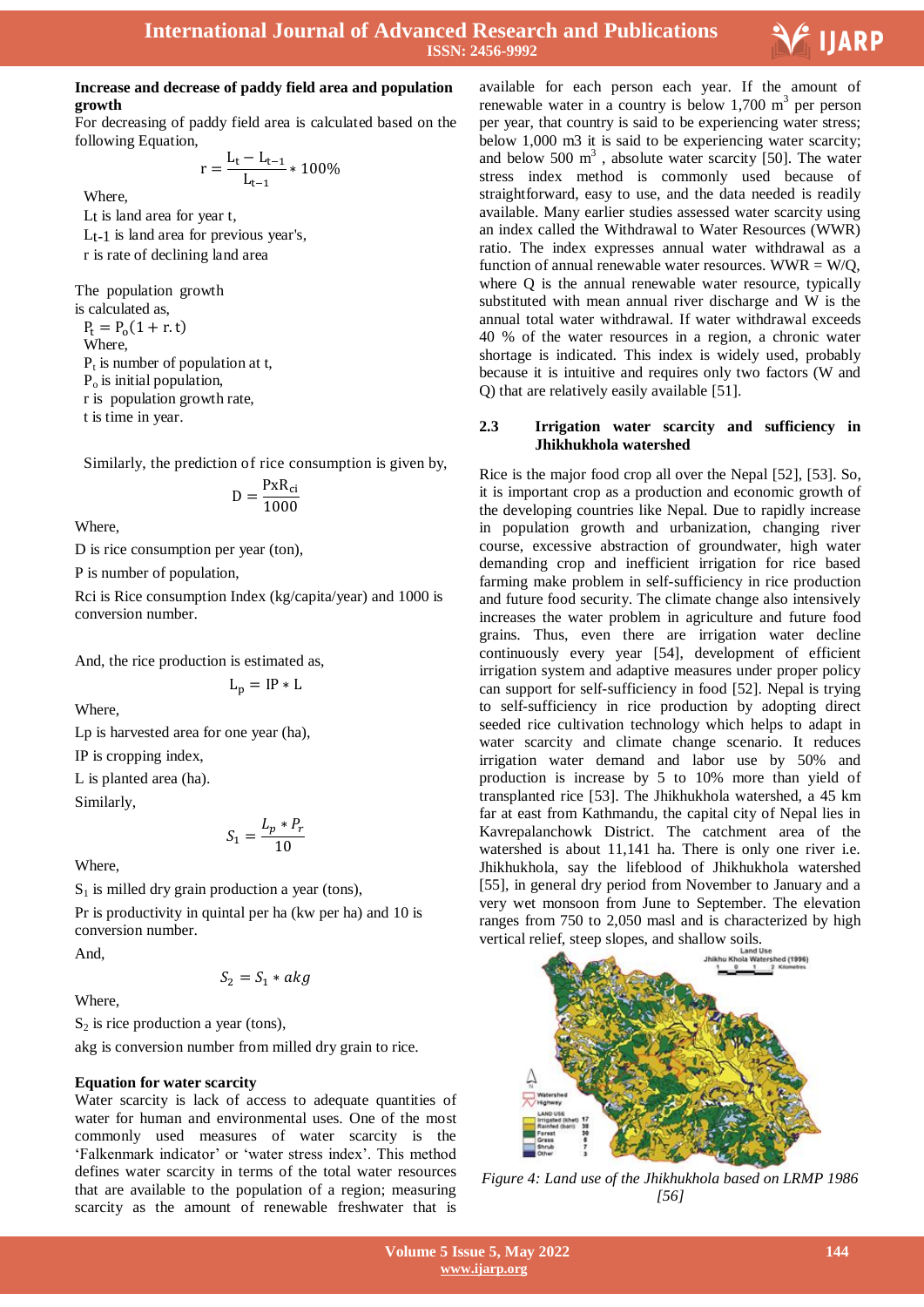

## **Increase and decrease of paddy field area and population growth**

For decreasing of paddy field area is calculated based on the following Equation,

$$
r = \frac{L_t - L_{t-1}}{L_{t-1}} * 100\%
$$

Where,

Lt is land area for year t, Lt-1 is land area for previous year's, r is rate of declining land area

The population growth is calculated as,

 $P_t = P_0$ Where,  $P_t$  is number of population at t,  $P<sub>o</sub>$  is initial population, r is population growth rate, t is time in year.

Similarly, the prediction of rice consumption is given by,

$$
D = \frac{P x R_{ci}}{1000}
$$

Where,

D is rice consumption per year (ton),

P is number of population,

Rci is Rice consumption Index (kg/capita/year) and 1000 is conversion number.

And, the rice production is estimated as,

$$
L_p = IP * L
$$

Where,

Lp is harvested area for one year (ha),

IP is cropping index,

L is planted area (ha).

Similarly,

$$
S_1 = \frac{L_p * P_r}{10}
$$

Where,

 $S_1$  is milled dry grain production a year (tons),

Pr is productivity in quintal per ha (kw per ha) and 10 is conversion number.

And,

$$
S_2 = S_1 * akg
$$

Where,

 $S_2$  is rice production a year (tons),

akg is conversion number from milled dry grain to rice.

## **Equation for water scarcity**

Water scarcity is lack of access to adequate quantities of water for human and environmental uses. One of the most commonly used measures of water scarcity is the "Falkenmark indicator" or "water stress index". This method defines water scarcity in terms of the total water resources that are available to the population of a region; measuring scarcity as the amount of renewable freshwater that is

 available for each person each year. If the amount of renewable water in a country is below  $1,700 \text{ m}^3$  per person per year, that country is said to be experiencing water stress; below 1,000 m3 it is said to be experiencing water scarcity; and below  $500 \text{ m}^3$ , absolute water scarcity [50]. The water stress index method is commonly used because of straightforward, easy to use, and the data needed is readily available. Many earlier studies assessed water scarcity using an index called the Withdrawal to Water Resources (WWR) ratio. The index expresses annual water withdrawal as a function of annual renewable water resources. WWR  $= W/O$ . where Q is the annual renewable water resource, typically substituted with mean annual river discharge and W is the annual total water withdrawal. If water withdrawal exceeds 40 % of the water resources in a region, a chronic water shortage is indicated. This index is widely used, probably because it is intuitive and requires only two factors (W and Q) that are relatively easily available [51].

#### **2.3 Irrigation water scarcity and sufficiency in Jhikhukhola watershed**

Rice is the major food crop all over the Nepal [52], [53]. So, it is important crop as a production and economic growth of the developing countries like Nepal. Due to rapidly increase in population growth and urbanization, changing river course, excessive abstraction of groundwater, high water demanding crop and inefficient irrigation for rice based farming make problem in self-sufficiency in rice production and future food security. The climate change also intensively increases the water problem in agriculture and future food grains. Thus, even there are irrigation water decline continuously every year [54], development of efficient irrigation system and adaptive measures under proper policy can support for self-sufficiency in food [52]. Nepal is trying to self-sufficiency in rice production by adopting direct seeded rice cultivation technology which helps to adapt in water scarcity and climate change scenario. It reduces irrigation water demand and labor use by 50% and production is increase by 5 to 10% more than yield of transplanted rice [53]. The Jhikhukhola watershed, a 45 km far at east from Kathmandu, the capital city of Nepal lies in Kavrepalanchowk District. The catchment area of the watershed is about 11,141 ha. There is only one river i.e. Jhikhukhola, say the lifeblood of Jhikhukhola watershed [55], in general dry period from November to January and a very wet monsoon from June to September. The elevation ranges from 750 to 2,050 masl and is characterized by high



*Figure 4: Land use of the Jhikhukhola based on LRMP 1986 [56]*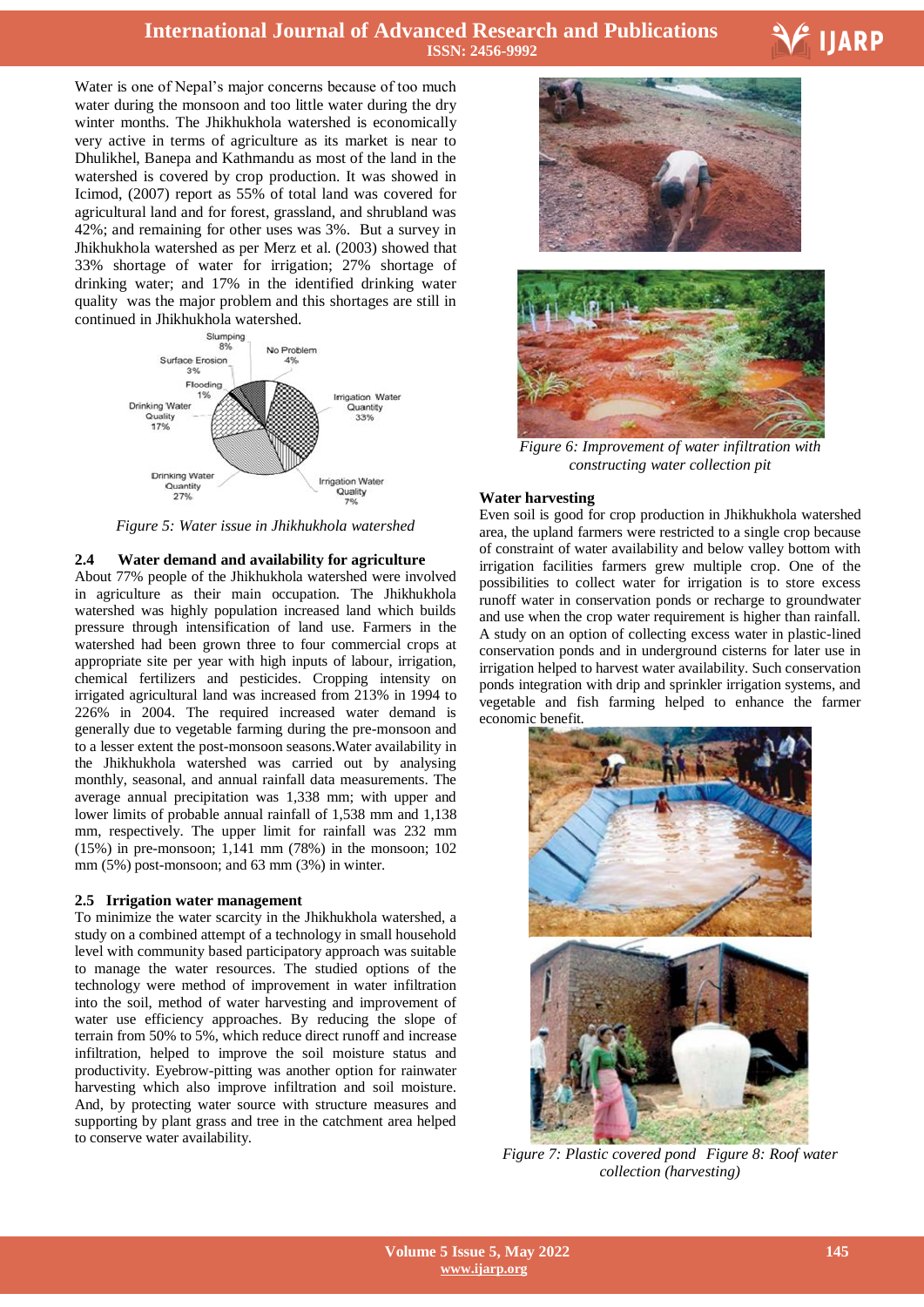# **International Journal of Advanced Research and Publications ISSN: 2456-9992**

Water is one of Nepal's major concerns because of too much water during the monsoon and too little water during the dry winter months. The Jhikhukhola watershed is economically very active in terms of agriculture as its market is near to Dhulikhel, Banepa and Kathmandu as most of the land in the watershed is covered by crop production. It was showed in Icimod, (2007) report as 55% of total land was covered for agricultural land and for forest, grassland, and shrubland was 42%; and remaining for other uses was 3%. But a survey in Jhikhukhola watershed as per Merz et al. (2003) showed that 33% shortage of water for irrigation; 27% shortage of drinking water; and 17% in the identified drinking water quality was the major problem and this shortages are still in continued in Jhikhukhola watershed.



*Figure 5: Water issue in Jhikhukhola watershed*

#### **2.4 Water demand and availability for agriculture**

About 77% people of the Jhikhukhola watershed were involved in agriculture as their main occupation. The Jhikhukhola watershed was highly population increased land which builds pressure through intensification of land use. Farmers in the watershed had been grown three to four commercial crops at appropriate site per year with high inputs of labour, irrigation, chemical fertilizers and pesticides. Cropping intensity on irrigated agricultural land was increased from 213% in 1994 to 226% in 2004. The required increased water demand is generally due to vegetable farming during the pre-monsoon and to a lesser extent the post-monsoon seasons.Water availability in the Jhikhukhola watershed was carried out by analysing monthly, seasonal, and annual rainfall data measurements. The average annual precipitation was 1,338 mm; with upper and lower limits of probable annual rainfall of 1,538 mm and 1,138 mm, respectively. The upper limit for rainfall was 232 mm (15%) in pre-monsoon; 1,141 mm (78%) in the monsoon; 102 mm (5%) post-monsoon; and 63 mm (3%) in winter.

#### **2.5 Irrigation water management**

To minimize the water scarcity in the Jhikhukhola watershed, a study on a combined attempt of a technology in small household level with community based participatory approach was suitable to manage the water resources. The studied options of the technology were method of improvement in water infiltration into the soil, method of water harvesting and improvement of water use efficiency approaches. By reducing the slope of terrain from 50% to 5%, which reduce direct runoff and increase infiltration, helped to improve the soil moisture status and productivity. Eyebrow-pitting was another option for rainwater harvesting which also improve infiltration and soil moisture. And, by protecting water source with structure measures and supporting by plant grass and tree in the catchment area helped to conserve water availability.



V IJARP



*Figure 6: Improvement of water infiltration with constructing water collection pit*

#### **Water harvesting**

Even soil is good for crop production in Jhikhukhola watershed area, the upland farmers were restricted to a single crop because of constraint of water availability and below valley bottom with irrigation facilities farmers grew multiple crop. One of the possibilities to collect water for irrigation is to store excess runoff water in conservation ponds or recharge to groundwater and use when the crop water requirement is higher than rainfall. A study on an option of collecting excess water in plastic-lined conservation ponds and in underground cisterns for later use in irrigation helped to harvest water availability. Such conservation ponds integration with drip and sprinkler irrigation systems, and vegetable and fish farming helped to enhance the farmer economic benefit.



*Figure 7: Plastic covered pond Figure 8: Roof water collection (harvesting)*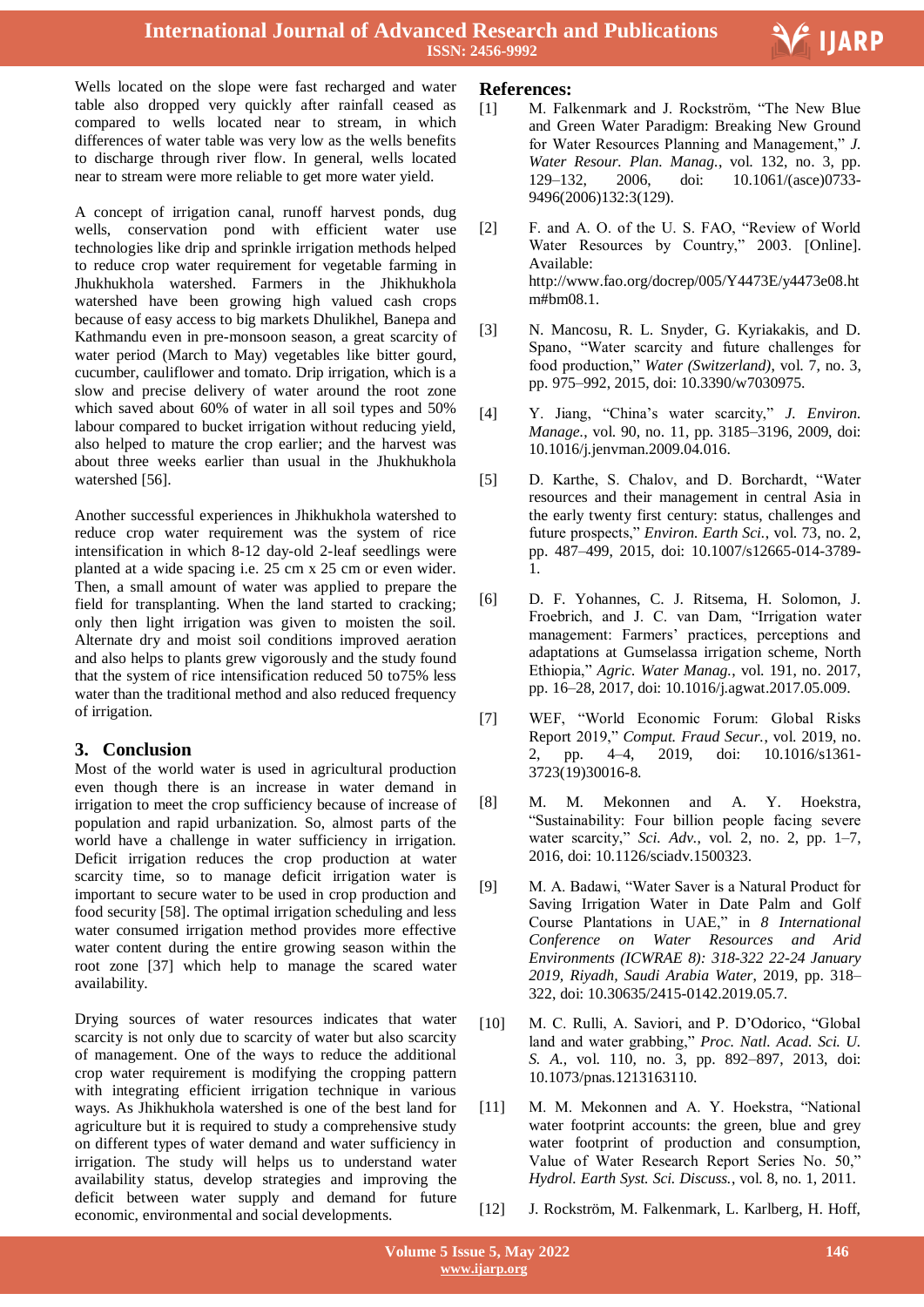Wells located on the slope were fast recharged and water table also dropped very quickly after rainfall ceased as compared to wells located near to stream, in which differences of water table was very low as the wells benefits to discharge through river flow. In general, wells located near to stream were more reliable to get more water yield.

A concept of irrigation canal, runoff harvest ponds, dug wells, conservation pond with efficient water use technologies like drip and sprinkle irrigation methods helped to reduce crop water requirement for vegetable farming in Jhukhukhola watershed. Farmers in the Jhikhukhola watershed have been growing high valued cash crops because of easy access to big markets Dhulikhel, Banepa and Kathmandu even in pre-monsoon season, a great scarcity of water period (March to May) vegetables like bitter gourd, cucumber, cauliflower and tomato. Drip irrigation, which is a slow and precise delivery of water around the root zone which saved about 60% of water in all soil types and 50% labour compared to bucket irrigation without reducing yield, also helped to mature the crop earlier; and the harvest was about three weeks earlier than usual in the Jhukhukhola watershed [56].

Another successful experiences in Jhikhukhola watershed to reduce crop water requirement was the system of rice intensification in which 8-12 day-old 2-leaf seedlings were planted at a wide spacing i.e. 25 cm x 25 cm or even wider. Then, a small amount of water was applied to prepare the field for transplanting. When the land started to cracking; only then light irrigation was given to moisten the soil. Alternate dry and moist soil conditions improved aeration and also helps to plants grew vigorously and the study found that the system of rice intensification reduced 50 to75% less water than the traditional method and also reduced frequency of irrigation.

## **3. Conclusion**

Most of the world water is used in agricultural production even though there is an increase in water demand in irrigation to meet the crop sufficiency because of increase of population and rapid urbanization. So, almost parts of the world have a challenge in water sufficiency in irrigation. Deficit irrigation reduces the crop production at water scarcity time, so to manage deficit irrigation water is important to secure water to be used in crop production and food security [58]. The optimal irrigation scheduling and less water consumed irrigation method provides more effective water content during the entire growing season within the root zone [37] which help to manage the scared water availability.

Drying sources of water resources indicates that water scarcity is not only due to scarcity of water but also scarcity of management. One of the ways to reduce the additional crop water requirement is modifying the cropping pattern with integrating efficient irrigation technique in various ways. As Jhikhukhola watershed is one of the best land for agriculture but it is required to study a comprehensive study on different types of water demand and water sufficiency in irrigation. The study will helps us to understand water availability status, develop strategies and improving the deficit between water supply and demand for future economic, environmental and social developments.

# **References:**

[1] M. Falkenmark and J. Rockström, "The New Blue and Green Water Paradigm: Breaking New Ground for Water Resources Planning and Management," *J. Water Resour. Plan. Manag.*, vol. 132, no. 3, pp. 129–132, 2006, doi: 10.1061/(asce)0733- 9496(2006)132:3(129).

Ξ

V IJARP

- [2] F. and A. O. of the U. S. FAO, "Review of World Water Resources by Country," 2003. [Online]. Available: http://www.fao.org/docrep/005/Y4473E/y4473e08.ht m#bm08.1.
- [3] N. Mancosu, R. L. Snyder, G. Kyriakakis, and D. Spano, "Water scarcity and future challenges for food production," *Water (Switzerland)*, vol. 7, no. 3, pp. 975–992, 2015, doi: 10.3390/w7030975.
- [4] Y. Jiang, "China"s water scarcity," *J. Environ. Manage.*, vol. 90, no. 11, pp. 3185–3196, 2009, doi: 10.1016/j.jenvman.2009.04.016.
- [5] D. Karthe, S. Chalov, and D. Borchardt, "Water resources and their management in central Asia in the early twenty first century: status, challenges and future prospects," *Environ. Earth Sci.*, vol. 73, no. 2, pp. 487–499, 2015, doi: 10.1007/s12665-014-3789- 1.
- [6] D. F. Yohannes, C. J. Ritsema, H. Solomon, J. Froebrich, and J. C. van Dam, "Irrigation water management: Farmers' practices, perceptions and adaptations at Gumselassa irrigation scheme, North Ethiopia," *Agric. Water Manag.*, vol. 191, no. 2017, pp. 16–28, 2017, doi: 10.1016/j.agwat.2017.05.009.
- [7] WEF, "World Economic Forum: Global Risks Report 2019," *Comput. Fraud Secur.*, vol. 2019, no. 2, pp. 4–4, 2019, doi: 10.1016/s1361- 3723(19)30016-8.
- [8] M. M. Mekonnen and A. Y. Hoekstra, "Sustainability: Four billion people facing severe water scarcity," *Sci. Adv.*, vol. 2, no. 2, pp. 1–7, 2016, doi: 10.1126/sciadv.1500323.
- [9] M. A. Badawi, "Water Saver is a Natural Product for Saving Irrigation Water in Date Palm and Golf Course Plantations in UAE," in *8 International Conference on Water Resources and Arid Environments (ICWRAE 8): 318-322 22-24 January 2019, Riyadh, Saudi Arabia Water*, 2019, pp. 318– 322, doi: 10.30635/2415-0142.2019.05.7.
- [10] M. C. Rulli, A. Saviori, and P. D'Odorico, "Global land and water grabbing," *Proc. Natl. Acad. Sci. U. S. A.*, vol. 110, no. 3, pp. 892–897, 2013, doi: 10.1073/pnas.1213163110.
- [11] M. M. Mekonnen and A. Y. Hoekstra, "National water footprint accounts: the green, blue and grey water footprint of production and consumption, Value of Water Research Report Series No. 50," *Hydrol. Earth Syst. Sci. Discuss.*, vol. 8, no. 1, 2011.
- [12] J. Rockström, M. Falkenmark, L. Karlberg, H. Hoff,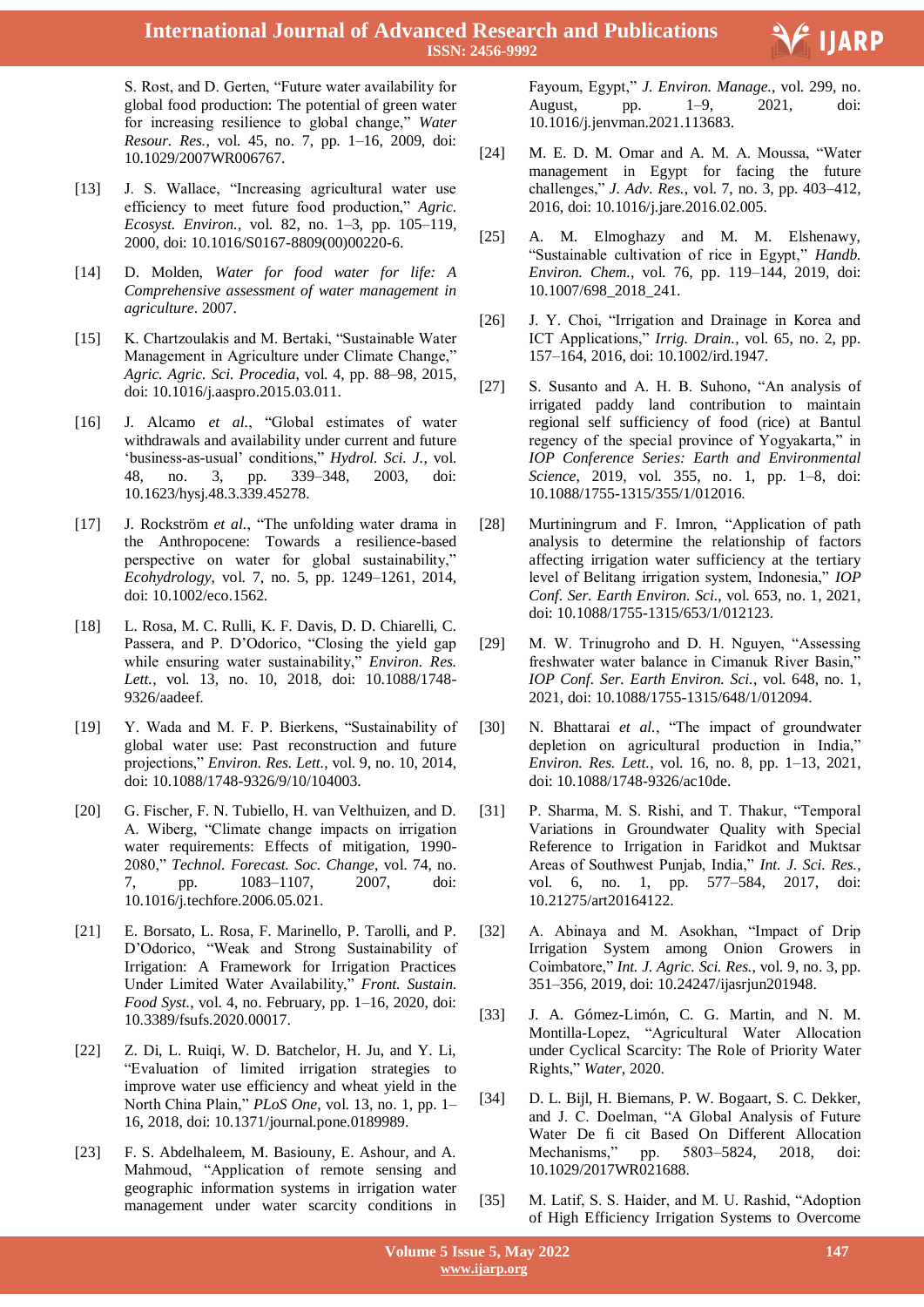S. Rost, and D. Gerten, "Future water availability for global food production: The potential of green water for increasing resilience to global change," *Water Resour. Res.*, vol. 45, no. 7, pp. 1–16, 2009, doi: 10.1029/2007WR006767.

- [13] J. S. Wallace, "Increasing agricultural water use efficiency to meet future food production," *Agric. Ecosyst. Environ.*, vol. 82, no. 1–3, pp. 105–119, 2000, doi: 10.1016/S0167-8809(00)00220-6.
- [14] D. Molden, *Water for food water for life: A Comprehensive assessment of water management in agriculture*. 2007.
- [15] K. Chartzoulakis and M. Bertaki, "Sustainable Water" Management in Agriculture under Climate Change," *Agric. Agric. Sci. Procedia*, vol. 4, pp. 88–98, 2015, doi: 10.1016/j.aaspro.2015.03.011.
- [16] J. Alcamo *et al.*, "Global estimates of water withdrawals and availability under current and future "business-as-usual" conditions," *Hydrol. Sci. J.*, vol. 48, no. 3, pp. 339–348, 2003, doi: 10.1623/hysj.48.3.339.45278.
- [17] J. Rockström *et al.*, "The unfolding water drama in the Anthropocene: Towards a resilience-based perspective on water for global sustainability," *Ecohydrology*, vol. 7, no. 5, pp. 1249–1261, 2014, doi: 10.1002/eco.1562.
- [18] L. Rosa, M. C. Rulli, K. F. Davis, D. D. Chiarelli, C. Passera, and P. D"Odorico, "Closing the yield gap while ensuring water sustainability," *Environ. Res. Lett.*, vol. 13, no. 10, 2018, doi: 10.1088/1748- 9326/aadeef.
- [19] Y. Wada and M. F. P. Bierkens, "Sustainability of global water use: Past reconstruction and future projections," *Environ. Res. Lett.*, vol. 9, no. 10, 2014, doi: 10.1088/1748-9326/9/10/104003.
- [20] G. Fischer, F. N. Tubiello, H. van Velthuizen, and D. A. Wiberg, "Climate change impacts on irrigation water requirements: Effects of mitigation, 1990- 2080," *Technol. Forecast. Soc. Change*, vol. 74, no. 7, pp. 1083–1107, 2007, doi: 10.1016/j.techfore.2006.05.021.
- [21] E. Borsato, L. Rosa, F. Marinello, P. Tarolli, and P. D"Odorico, "Weak and Strong Sustainability of Irrigation: A Framework for Irrigation Practices Under Limited Water Availability," *Front. Sustain. Food Syst.*, vol. 4, no. February, pp. 1–16, 2020, doi: 10.3389/fsufs.2020.00017.
- [22] Z. Di, L. Ruigi, W. D. Batchelor, H. Ju, and Y. Li, "Evaluation of limited irrigation strategies to improve water use efficiency and wheat yield in the North China Plain," *PLoS One*, vol. 13, no. 1, pp. 1– 16, 2018, doi: 10.1371/journal.pone.0189989.
- [23] F. S. Abdelhaleem, M. Basiouny, E. Ashour, and A. Mahmoud, "Application of remote sensing and geographic information systems in irrigation water management under water scarcity conditions in

 Fayoum, Egypt," *J. Environ. Manage.*, vol. 299, no. August, pp. 1–9, 2021, doi: 10.1016/j.jenvman.2021.113683.

V IJARP

- [24] M. E. D. M. Omar and A. M. A. Moussa, "Water management in Egypt for facing the future challenges," *J. Adv. Res.*, vol. 7, no. 3, pp. 403–412, 2016, doi: 10.1016/j.jare.2016.02.005.
- [25] A. M. Elmoghazy and M. M. Elshenawy, "Sustainable cultivation of rice in Egypt," *Handb. Environ. Chem.*, vol. 76, pp. 119–144, 2019, doi: 10.1007/698\_2018\_241.
- [26] J. Y. Choi, "Irrigation and Drainage in Korea and ICT Applications," *Irrig. Drain.*, vol. 65, no. 2, pp. 157–164, 2016, doi: 10.1002/ird.1947.
- [27] S. Susanto and A. H. B. Suhono, "An analysis of irrigated paddy land contribution to maintain regional self sufficiency of food (rice) at Bantul regency of the special province of Yogyakarta," in *IOP Conference Series: Earth and Environmental Science*, 2019, vol. 355, no. 1, pp. 1–8, doi: 10.1088/1755-1315/355/1/012016.
- [28] Murtiningrum and F. Imron, "Application of path analysis to determine the relationship of factors affecting irrigation water sufficiency at the tertiary level of Belitang irrigation system, Indonesia," *IOP Conf. Ser. Earth Environ. Sci.*, vol. 653, no. 1, 2021, doi: 10.1088/1755-1315/653/1/012123.
- [29] M. W. Trinugroho and D. H. Nguyen, "Assessing freshwater water balance in Cimanuk River Basin," *IOP Conf. Ser. Earth Environ. Sci.*, vol. 648, no. 1, 2021, doi: 10.1088/1755-1315/648/1/012094.
- [30] N. Bhattarai *et al.*, "The impact of groundwater depletion on agricultural production in India," *Environ. Res. Lett.*, vol. 16, no. 8, pp. 1–13, 2021, doi: 10.1088/1748-9326/ac10de.
- [31] P. Sharma, M. S. Rishi, and T. Thakur, "Temporal Variations in Groundwater Quality with Special Reference to Irrigation in Faridkot and Muktsar Areas of Southwest Punjab, India," *Int. J. Sci. Res.*, vol. 6, no. 1, pp. 577–584, 2017, doi: 10.21275/art20164122.
- [32] A. Abinaya and M. Asokhan, "Impact of Drip Irrigation System among Onion Growers in Coimbatore," *Int. J. Agric. Sci. Res.*, vol. 9, no. 3, pp. 351–356, 2019, doi: 10.24247/ijasrjun201948.
- [33] J. A. Gómez-Limón, C. G. Martin, and N. M. Montilla-Lopez, "Agricultural Water Allocation under Cyclical Scarcity: The Role of Priority Water Rights," *Water*, 2020.
- [34] D. L. Bijl, H. Biemans, P. W. Bogaart, S. C. Dekker, and J. C. Doelman, "A Global Analysis of Future Water De fi cit Based On Different Allocation Mechanisms," pp. 5803–5824, 2018, doi: 10.1029/2017WR021688.
- [35] M. Latif, S. S. Haider, and M. U. Rashid, "Adoption of High Efficiency Irrigation Systems to Overcome